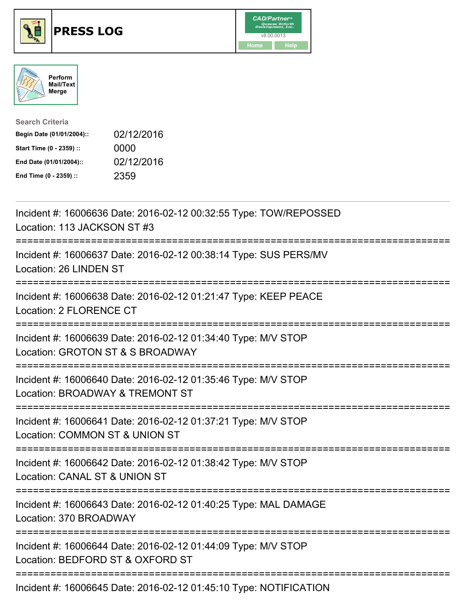





| <b>Search Criteria</b>    |            |
|---------------------------|------------|
| Begin Date (01/01/2004):: | 02/12/2016 |
| Start Time (0 - 2359) ::  | 0000       |
| End Date (01/01/2004)::   | 02/12/2016 |
| End Time (0 - 2359) ::    | 2359       |

| Incident #: 16006636 Date: 2016-02-12 00:32:55 Type: TOW/REPOSSED<br>Location: 113 JACKSON ST #3                                                   |
|----------------------------------------------------------------------------------------------------------------------------------------------------|
| Incident #: 16006637 Date: 2016-02-12 00:38:14 Type: SUS PERS/MV<br>Location: 26 LINDEN ST                                                         |
| Incident #: 16006638 Date: 2016-02-12 01:21:47 Type: KEEP PEACE<br>Location: 2 FLORENCE CT<br>============                                         |
| Incident #: 16006639 Date: 2016-02-12 01:34:40 Type: M/V STOP<br>Location: GROTON ST & S BROADWAY                                                  |
| Incident #: 16006640 Date: 2016-02-12 01:35:46 Type: M/V STOP<br>Location: BROADWAY & TREMONT ST<br>===========================<br>--------------- |
| Incident #: 16006641 Date: 2016-02-12 01:37:21 Type: M/V STOP<br>Location: COMMON ST & UNION ST                                                    |
| Incident #: 16006642 Date: 2016-02-12 01:38:42 Type: M/V STOP<br>Location: CANAL ST & UNION ST<br>:========================                        |
| Incident #: 16006643 Date: 2016-02-12 01:40:25 Type: MAL DAMAGE<br>Location: 370 BROADWAY                                                          |
| Incident #: 16006644 Date: 2016-02-12 01:44:09 Type: M/V STOP<br>Location: BEDFORD ST & OXFORD ST                                                  |
| Incident #: 16006645 Date: 2016-02-12 01:45:10 Type: NOTIFICATION                                                                                  |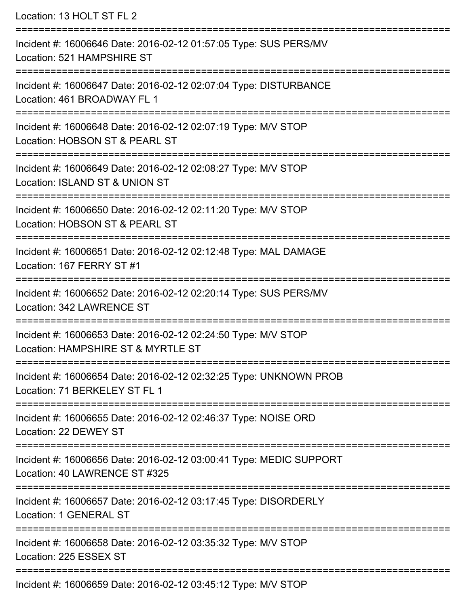Location: 13 HOLT ST FL 2

=========================================================================== Incident #: 16006646 Date: 2016-02-12 01:57:05 Type: SUS PERS/MV Location: 521 HAMPSHIRE ST =========================================================================== Incident #: 16006647 Date: 2016-02-12 02:07:04 Type: DISTURBANCE Location: 461 BROADWAY FL 1 =========================================================================== Incident #: 16006648 Date: 2016-02-12 02:07:19 Type: M/V STOP Location: HOBSON ST & PEARL ST =========================================================================== Incident #: 16006649 Date: 2016-02-12 02:08:27 Type: M/V STOP Location: ISLAND ST & UNION ST =========================================================================== Incident #: 16006650 Date: 2016-02-12 02:11:20 Type: M/V STOP Location: HOBSON ST & PEARL ST =========================================================================== Incident #: 16006651 Date: 2016-02-12 02:12:48 Type: MAL DAMAGE Location: 167 FERRY ST #1 =========================================================================== Incident #: 16006652 Date: 2016-02-12 02:20:14 Type: SUS PERS/MV Location: 342 LAWRENCE ST =========================================================================== Incident #: 16006653 Date: 2016-02-12 02:24:50 Type: M/V STOP Location: HAMPSHIRE ST & MYRTLE ST =========================================================================== Incident #: 16006654 Date: 2016-02-12 02:32:25 Type: UNKNOWN PROB Location: 71 BERKELEY ST FL 1 =========================================================================== Incident #: 16006655 Date: 2016-02-12 02:46:37 Type: NOISE ORD Location: 22 DEWEY ST =========================================================================== Incident #: 16006656 Date: 2016-02-12 03:00:41 Type: MEDIC SUPPORT Location: 40 LAWRENCE ST #325 =========================================================================== Incident #: 16006657 Date: 2016-02-12 03:17:45 Type: DISORDERLY Location: 1 GENERAL ST =========================================================================== Incident #: 16006658 Date: 2016-02-12 03:35:32 Type: M/V STOP Location: 225 ESSEX ST =========================================================================== Incident #: 16006659 Date: 2016-02-12 03:45:12 Type: M/V STOP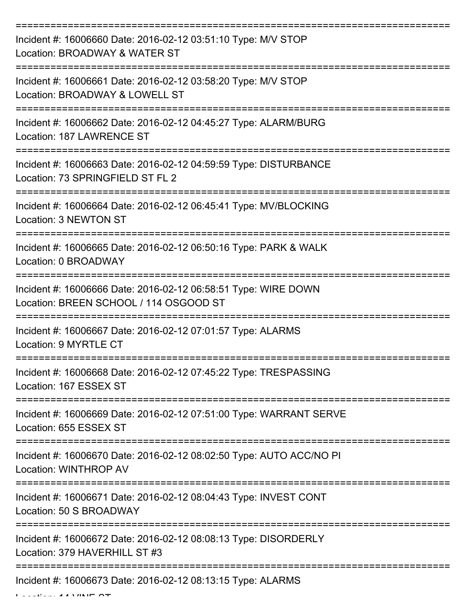| Incident #: 16006660 Date: 2016-02-12 03:51:10 Type: M/V STOP<br>Location: BROADWAY & WATER ST           |
|----------------------------------------------------------------------------------------------------------|
| Incident #: 16006661 Date: 2016-02-12 03:58:20 Type: M/V STOP<br>Location: BROADWAY & LOWELL ST          |
| Incident #: 16006662 Date: 2016-02-12 04:45:27 Type: ALARM/BURG<br>Location: 187 LAWRENCE ST             |
| Incident #: 16006663 Date: 2016-02-12 04:59:59 Type: DISTURBANCE<br>Location: 73 SPRINGFIELD ST FL 2     |
| Incident #: 16006664 Date: 2016-02-12 06:45:41 Type: MV/BLOCKING<br>Location: 3 NEWTON ST                |
| Incident #: 16006665 Date: 2016-02-12 06:50:16 Type: PARK & WALK<br>Location: 0 BROADWAY                 |
| Incident #: 16006666 Date: 2016-02-12 06:58:51 Type: WIRE DOWN<br>Location: BREEN SCHOOL / 114 OSGOOD ST |
| Incident #: 16006667 Date: 2016-02-12 07:01:57 Type: ALARMS<br>Location: 9 MYRTLE CT                     |
| Incident #: 16006668 Date: 2016-02-12 07:45:22 Type: TRESPASSING<br>Location: 167 ESSEX ST               |
| Incident #: 16006669 Date: 2016-02-12 07:51:00 Type: WARRANT SERVE<br>Location: 655 ESSEX ST             |
| Incident #: 16006670 Date: 2016-02-12 08:02:50 Type: AUTO ACC/NO PI<br>Location: WINTHROP AV             |
| Incident #: 16006671 Date: 2016-02-12 08:04:43 Type: INVEST CONT<br>Location: 50 S BROADWAY              |
| Incident #: 16006672 Date: 2016-02-12 08:08:13 Type: DISORDERLY<br>Location: 379 HAVERHILL ST #3         |
| Incident #: 16006673 Date: 2016-02-12 08:13:15 Type: ALARMS                                              |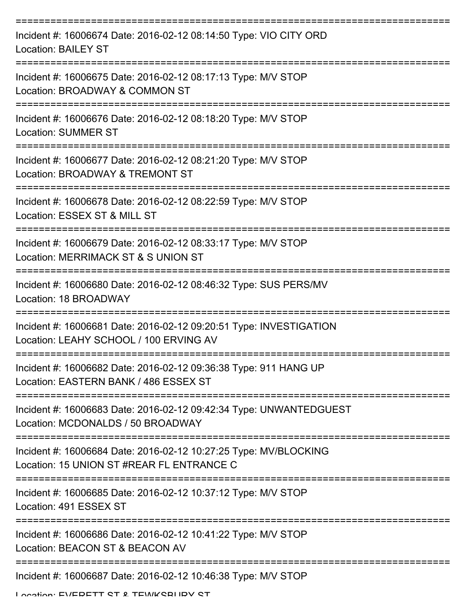| Incident #: 16006674 Date: 2016-02-12 08:14:50 Type: VIO CITY ORD<br><b>Location: BAILEY ST</b>               |
|---------------------------------------------------------------------------------------------------------------|
| Incident #: 16006675 Date: 2016-02-12 08:17:13 Type: M/V STOP<br>Location: BROADWAY & COMMON ST               |
| Incident #: 16006676 Date: 2016-02-12 08:18:20 Type: M/V STOP<br><b>Location: SUMMER ST</b>                   |
| Incident #: 16006677 Date: 2016-02-12 08:21:20 Type: M/V STOP<br>Location: BROADWAY & TREMONT ST              |
| Incident #: 16006678 Date: 2016-02-12 08:22:59 Type: M/V STOP<br>Location: ESSEX ST & MILL ST                 |
| Incident #: 16006679 Date: 2016-02-12 08:33:17 Type: M/V STOP<br>Location: MERRIMACK ST & S UNION ST          |
| Incident #: 16006680 Date: 2016-02-12 08:46:32 Type: SUS PERS/MV<br>Location: 18 BROADWAY                     |
| Incident #: 16006681 Date: 2016-02-12 09:20:51 Type: INVESTIGATION<br>Location: LEAHY SCHOOL / 100 ERVING AV  |
| Incident #: 16006682 Date: 2016-02-12 09:36:38 Type: 911 HANG UP<br>Location: EASTERN BANK / 486 ESSEX ST     |
| Incident #: 16006683 Date: 2016-02-12 09:42:34 Type: UNWANTEDGUEST<br>Location: MCDONALDS / 50 BROADWAY       |
| Incident #: 16006684 Date: 2016-02-12 10:27:25 Type: MV/BLOCKING<br>Location: 15 UNION ST #REAR FL ENTRANCE C |
| Incident #: 16006685 Date: 2016-02-12 10:37:12 Type: M/V STOP<br>Location: 491 ESSEX ST                       |
| Incident #: 16006686 Date: 2016-02-12 10:41:22 Type: M/V STOP<br>Location: BEACON ST & BEACON AV              |
| Incident #: 16006687 Date: 2016-02-12 10:46:38 Type: M/V STOP                                                 |

Location: EVEDETT ST & TEWKSBUDV ST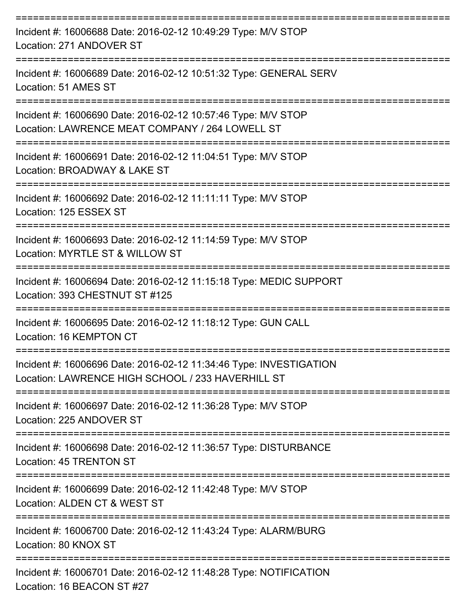| Incident #: 16006688 Date: 2016-02-12 10:49:29 Type: M/V STOP<br>Location: 271 ANDOVER ST                                                               |
|---------------------------------------------------------------------------------------------------------------------------------------------------------|
| Incident #: 16006689 Date: 2016-02-12 10:51:32 Type: GENERAL SERV<br>Location: 51 AMES ST                                                               |
| Incident #: 16006690 Date: 2016-02-12 10:57:46 Type: M/V STOP<br>Location: LAWRENCE MEAT COMPANY / 264 LOWELL ST                                        |
| Incident #: 16006691 Date: 2016-02-12 11:04:51 Type: M/V STOP<br>Location: BROADWAY & LAKE ST                                                           |
| Incident #: 16006692 Date: 2016-02-12 11:11:11 Type: M/V STOP<br>Location: 125 ESSEX ST                                                                 |
| Incident #: 16006693 Date: 2016-02-12 11:14:59 Type: M/V STOP<br>Location: MYRTLE ST & WILLOW ST                                                        |
| Incident #: 16006694 Date: 2016-02-12 11:15:18 Type: MEDIC SUPPORT<br>Location: 393 CHESTNUT ST #125                                                    |
| Incident #: 16006695 Date: 2016-02-12 11:18:12 Type: GUN CALL<br>Location: 16 KEMPTON CT                                                                |
| Incident #: 16006696 Date: 2016-02-12 11:34:46 Type: INVESTIGATION<br>Location: LAWRENCE HIGH SCHOOL / 233 HAVERHILL ST<br>---------------------------- |
| Incident #: 16006697 Date: 2016-02-12 11:36:28 Type: M/V STOP<br>Location: 225 ANDOVER ST                                                               |
| Incident #: 16006698 Date: 2016-02-12 11:36:57 Type: DISTURBANCE<br>Location: 45 TRENTON ST                                                             |
| Incident #: 16006699 Date: 2016-02-12 11:42:48 Type: M/V STOP<br>Location: ALDEN CT & WEST ST                                                           |
| Incident #: 16006700 Date: 2016-02-12 11:43:24 Type: ALARM/BURG<br>Location: 80 KNOX ST                                                                 |
| Incident #: 16006701 Date: 2016-02-12 11:48:28 Type: NOTIFICATION<br>Location: 16 BEACON ST #27                                                         |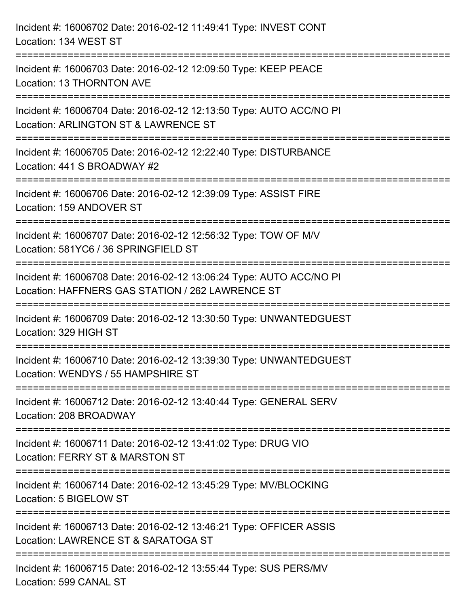| Incident #: 16006702 Date: 2016-02-12 11:49:41 Type: INVEST CONT<br>Location: 134 WEST ST                                                                                                |
|------------------------------------------------------------------------------------------------------------------------------------------------------------------------------------------|
| Incident #: 16006703 Date: 2016-02-12 12:09:50 Type: KEEP PEACE<br>Location: 13 THORNTON AVE                                                                                             |
| Incident #: 16006704 Date: 2016-02-12 12:13:50 Type: AUTO ACC/NO PI<br>Location: ARLINGTON ST & LAWRENCE ST<br>.====================================<br>================================ |
| Incident #: 16006705 Date: 2016-02-12 12:22:40 Type: DISTURBANCE<br>Location: 441 S BROADWAY #2                                                                                          |
| Incident #: 16006706 Date: 2016-02-12 12:39:09 Type: ASSIST FIRE<br>Location: 159 ANDOVER ST<br>:=============================                                                           |
| Incident #: 16006707 Date: 2016-02-12 12:56:32 Type: TOW OF M/V<br>Location: 581YC6 / 36 SPRINGFIELD ST                                                                                  |
| Incident #: 16006708 Date: 2016-02-12 13:06:24 Type: AUTO ACC/NO PI<br>Location: HAFFNERS GAS STATION / 262 LAWRENCE ST                                                                  |
| Incident #: 16006709 Date: 2016-02-12 13:30:50 Type: UNWANTEDGUEST<br>Location: 329 HIGH ST                                                                                              |
| Incident #: 16006710 Date: 2016-02-12 13:39:30 Type: UNWANTEDGUEST<br>Location: WENDYS / 55 HAMPSHIRE ST                                                                                 |
| Incident #: 16006712 Date: 2016-02-12 13:40:44 Type: GENERAL SERV<br>Location: 208 BROADWAY                                                                                              |
| Incident #: 16006711 Date: 2016-02-12 13:41:02 Type: DRUG VIO<br>Location: FERRY ST & MARSTON ST                                                                                         |
| Incident #: 16006714 Date: 2016-02-12 13:45:29 Type: MV/BLOCKING<br>Location: 5 BIGELOW ST                                                                                               |
| Incident #: 16006713 Date: 2016-02-12 13:46:21 Type: OFFICER ASSIS<br>Location: LAWRENCE ST & SARATOGA ST                                                                                |
| Incident #: 16006715 Date: 2016-02-12 13:55:44 Type: SUS PERS/MV<br>Location: 599 CANAL ST                                                                                               |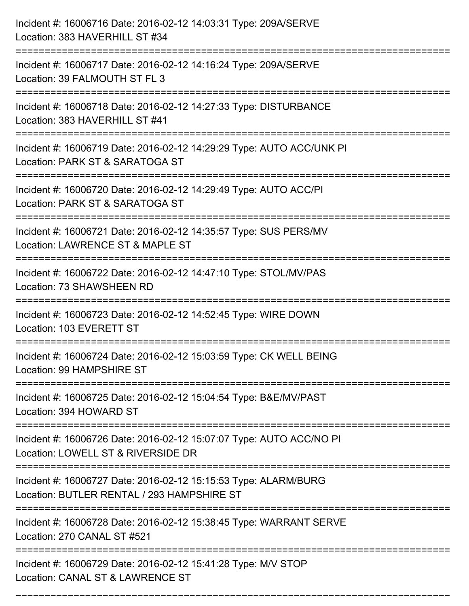| Incident #: 16006716 Date: 2016-02-12 14:03:31 Type: 209A/SERVE<br>Location: 383 HAVERHILL ST #34                                    |
|--------------------------------------------------------------------------------------------------------------------------------------|
| Incident #: 16006717 Date: 2016-02-12 14:16:24 Type: 209A/SERVE<br>Location: 39 FALMOUTH ST FL 3                                     |
| Incident #: 16006718 Date: 2016-02-12 14:27:33 Type: DISTURBANCE<br>Location: 383 HAVERHILL ST #41                                   |
| Incident #: 16006719 Date: 2016-02-12 14:29:29 Type: AUTO ACC/UNK PI<br>Location: PARK ST & SARATOGA ST                              |
| Incident #: 16006720 Date: 2016-02-12 14:29:49 Type: AUTO ACC/PI<br>Location: PARK ST & SARATOGA ST<br>============================= |
| Incident #: 16006721 Date: 2016-02-12 14:35:57 Type: SUS PERS/MV<br>Location: LAWRENCE ST & MAPLE ST                                 |
| Incident #: 16006722 Date: 2016-02-12 14:47:10 Type: STOL/MV/PAS<br>Location: 73 SHAWSHEEN RD<br>:=================                  |
| Incident #: 16006723 Date: 2016-02-12 14:52:45 Type: WIRE DOWN<br>Location: 103 EVERETT ST                                           |
| Incident #: 16006724 Date: 2016-02-12 15:03:59 Type: CK WELL BEING<br>Location: 99 HAMPSHIRE ST                                      |
| Incident #: 16006725 Date: 2016-02-12 15:04:54 Type: B&E/MV/PAST<br>Location: 394 HOWARD ST                                          |
| Incident #: 16006726 Date: 2016-02-12 15:07:07 Type: AUTO ACC/NO PI<br>Location: LOWELL ST & RIVERSIDE DR                            |
| Incident #: 16006727 Date: 2016-02-12 15:15:53 Type: ALARM/BURG<br>Location: BUTLER RENTAL / 293 HAMPSHIRE ST                        |
| Incident #: 16006728 Date: 2016-02-12 15:38:45 Type: WARRANT SERVE<br>Location: 270 CANAL ST #521                                    |
| Incident #: 16006729 Date: 2016-02-12 15:41:28 Type: M/V STOP<br>Location: CANAL ST & LAWRENCE ST                                    |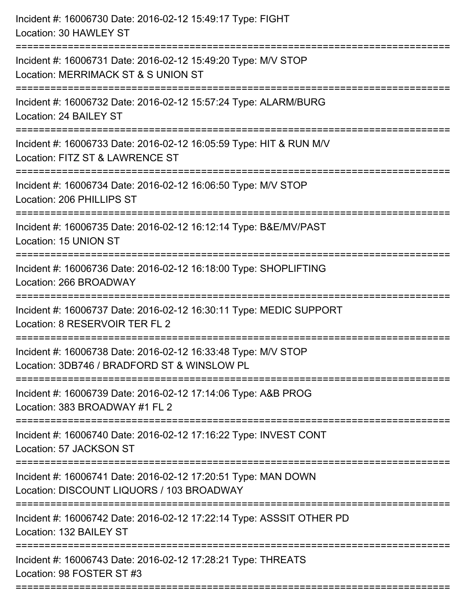| Incident #: 16006730 Date: 2016-02-12 15:49:17 Type: FIGHT<br>Location: 30 HAWLEY ST                         |
|--------------------------------------------------------------------------------------------------------------|
| Incident #: 16006731 Date: 2016-02-12 15:49:20 Type: M/V STOP<br>Location: MERRIMACK ST & S UNION ST         |
| Incident #: 16006732 Date: 2016-02-12 15:57:24 Type: ALARM/BURG<br>Location: 24 BAILEY ST                    |
| Incident #: 16006733 Date: 2016-02-12 16:05:59 Type: HIT & RUN M/V<br>Location: FITZ ST & LAWRENCE ST        |
| Incident #: 16006734 Date: 2016-02-12 16:06:50 Type: M/V STOP<br>Location: 206 PHILLIPS ST                   |
| Incident #: 16006735 Date: 2016-02-12 16:12:14 Type: B&E/MV/PAST<br>Location: 15 UNION ST                    |
| Incident #: 16006736 Date: 2016-02-12 16:18:00 Type: SHOPLIFTING<br>Location: 266 BROADWAY                   |
| Incident #: 16006737 Date: 2016-02-12 16:30:11 Type: MEDIC SUPPORT<br>Location: 8 RESERVOIR TER FL 2         |
| Incident #: 16006738 Date: 2016-02-12 16:33:48 Type: M/V STOP<br>Location: 3DB746 / BRADFORD ST & WINSLOW PL |
| Incident #: 16006739 Date: 2016-02-12 17:14:06 Type: A&B PROG<br>Location: 383 BROADWAY #1 FL 2              |
| Incident #: 16006740 Date: 2016-02-12 17:16:22 Type: INVEST CONT<br>Location: 57 JACKSON ST                  |
| Incident #: 16006741 Date: 2016-02-12 17:20:51 Type: MAN DOWN<br>Location: DISCOUNT LIQUORS / 103 BROADWAY   |
| Incident #: 16006742 Date: 2016-02-12 17:22:14 Type: ASSSIT OTHER PD<br>Location: 132 BAILEY ST              |
| Incident #: 16006743 Date: 2016-02-12 17:28:21 Type: THREATS<br>Location: 98 FOSTER ST #3                    |
|                                                                                                              |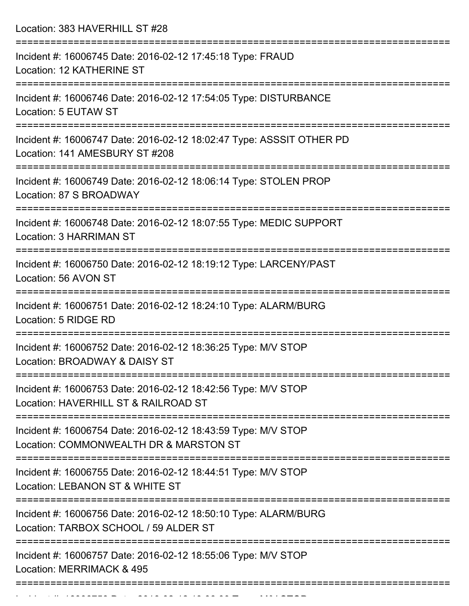Location: 383 HAVERHILL ST #28

| Incident #: 16006745 Date: 2016-02-12 17:45:18 Type: FRAUD<br>Location: 12 KATHERINE ST                  |
|----------------------------------------------------------------------------------------------------------|
| Incident #: 16006746 Date: 2016-02-12 17:54:05 Type: DISTURBANCE<br>Location: 5 EUTAW ST                 |
| Incident #: 16006747 Date: 2016-02-12 18:02:47 Type: ASSSIT OTHER PD<br>Location: 141 AMESBURY ST #208   |
| Incident #: 16006749 Date: 2016-02-12 18:06:14 Type: STOLEN PROP<br>Location: 87 S BROADWAY              |
| Incident #: 16006748 Date: 2016-02-12 18:07:55 Type: MEDIC SUPPORT<br><b>Location: 3 HARRIMAN ST</b>     |
| Incident #: 16006750 Date: 2016-02-12 18:19:12 Type: LARCENY/PAST<br>Location: 56 AVON ST                |
| Incident #: 16006751 Date: 2016-02-12 18:24:10 Type: ALARM/BURG<br>Location: 5 RIDGE RD                  |
| Incident #: 16006752 Date: 2016-02-12 18:36:25 Type: M/V STOP<br>Location: BROADWAY & DAISY ST           |
| Incident #: 16006753 Date: 2016-02-12 18:42:56 Type: M/V STOP<br>Location: HAVERHILL ST & RAILROAD ST    |
| Incident #: 16006754 Date: 2016-02-12 18:43:59 Type: M/V STOP<br>Location: COMMONWEALTH DR & MARSTON ST  |
| Incident #: 16006755 Date: 2016-02-12 18:44:51 Type: M/V STOP<br>Location: LEBANON ST & WHITE ST         |
| Incident #: 16006756 Date: 2016-02-12 18:50:10 Type: ALARM/BURG<br>Location: TARBOX SCHOOL / 59 ALDER ST |
| Incident #: 16006757 Date: 2016-02-12 18:55:06 Type: M/V STOP<br>Location: MERRIMACK & 495               |
|                                                                                                          |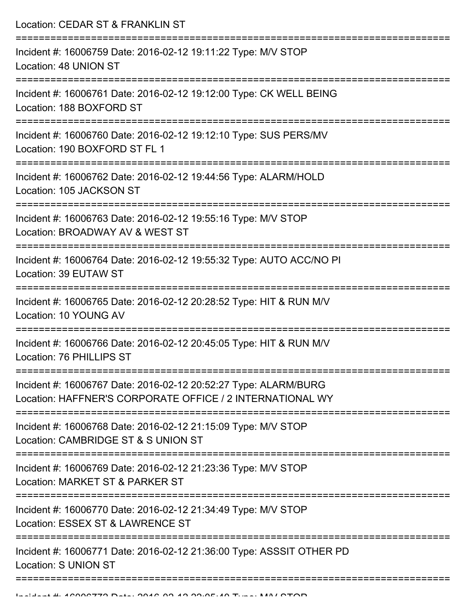Location: CEDAR ST & FRANKLIN ST =========================================================================== Incident #: 16006759 Date: 2016-02-12 19:11:22 Type: M/V STOP Location: 48 UNION ST =========================================================================== Incident #: 16006761 Date: 2016-02-12 19:12:00 Type: CK WELL BEING Location: 188 BOXFORD ST =========================================================================== Incident #: 16006760 Date: 2016-02-12 19:12:10 Type: SUS PERS/MV Location: 190 BOXFORD ST FL 1 =========================================================================== Incident #: 16006762 Date: 2016-02-12 19:44:56 Type: ALARM/HOLD Location: 105 JACKSON ST =========================================================================== Incident #: 16006763 Date: 2016-02-12 19:55:16 Type: M/V STOP Location: BROADWAY AV & WEST ST =========================================================================== Incident #: 16006764 Date: 2016-02-12 19:55:32 Type: AUTO ACC/NO PI Location: 39 EUTAW ST =========================================================================== Incident #: 16006765 Date: 2016-02-12 20:28:52 Type: HIT & RUN M/V Location: 10 YOUNG AV =========================================================================== Incident #: 16006766 Date: 2016-02-12 20:45:05 Type: HIT & RUN M/V Location: 76 PHILLIPS ST =========================================================================== Incident #: 16006767 Date: 2016-02-12 20:52:27 Type: ALARM/BURG Location: HAFFNER'S CORPORATE OFFICE / 2 INTERNATIONAL WY =========================================================================== Incident #: 16006768 Date: 2016-02-12 21:15:09 Type: M/V STOP Location: CAMBRIDGE ST & S UNION ST =========================================================================== Incident #: 16006769 Date: 2016-02-12 21:23:36 Type: M/V STOP Location: MARKET ST & PARKER ST =========================================================================== Incident #: 16006770 Date: 2016-02-12 21:34:49 Type: M/V STOP Location: ESSEX ST & LAWRENCE ST =========================================================================== Incident #: 16006771 Date: 2016-02-12 21:36:00 Type: ASSSIT OTHER PD Location: S UNION ST ===========================================================================